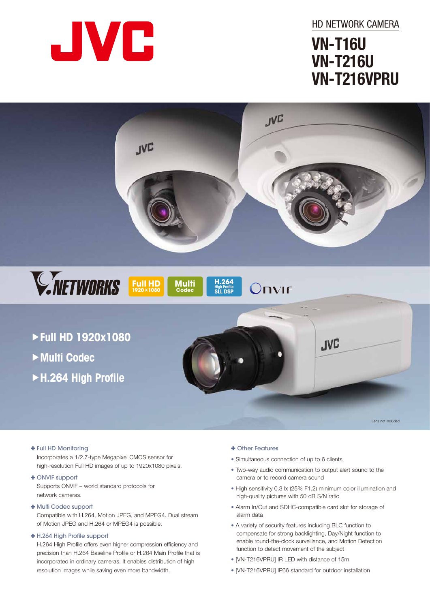

HD NETWORK CAMERA

# **VN-T16U VN-T216U VN-T216VPRU**



Lens not included

### : Full HD Monitoring

Incorporates a 1/2.7-type Megapixel CMOS sensor for high-resolution Full HD images of up to 1920x1080 pixels.

#### + ONVIF support

Supports ONVIF – world standard protocols for network cameras.

: Multi Codec support

Compatible with H.264, Motion JPEG, and MPEG4. Dual stream of Motion JPEG and H.264 or MPEG4 is possible.

### : H.264 High Profile support

H.264 High Profile offers even higher compression efficiency and precision than H.264 Baseline Profile or H.264 Main Profile that is incorporated in ordinary cameras. It enables distribution of high resolution images while saving even more bandwidth.

### : Other Features

- Simultaneous connection of up to 6 clients
- Two-way audio communication to output alert sound to the camera or to record camera sound
- High sensitivity 0.3 lx (25% F1.2) minimum color illumination and high-quality pictures with 50 dB S/N ratio
- Alarm In/Out and SDHC-compatible card slot for storage of alarm data
- A variety of security features including BLC function to compensate for strong backlighting, Day/Night function to enable round-the-clock surveillance, and Motion Detection function to detect movement of the subject
- [VN-T216VPRU] IR LED with distance of 15m
- [VN-T216VPRU] IP66 standard for outdoor installation